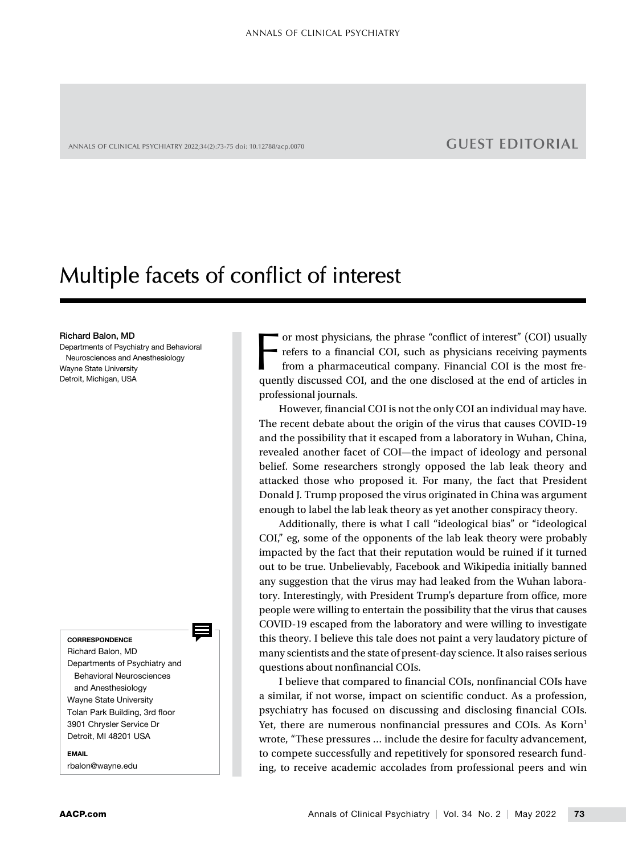ANNALS OF CLINICAL PSYCHIATRY 2022;34(2):73-75 doi: 10.12788/acp.0070 **GUEST EDITORIAL** 

## Multiple facets of conflict of interest

## Richard Balon, MD

Departments of Psychiatry and Behavioral Neurosciences and Anesthesiology Wayne State University Detroit, Michigan, USA

**CORRESPONDENCE** 

Richard Balon, MD Departments of Psychiatry and Behavioral Neurosciences and Anesthesiology Wayne State University Tolan Park Building, 3rd floor 3901 Chrysler Service Dr Detroit, MI 48201 USA

EMAIL rbalon@wayne.edu For most physicians, the phrase "conflict of interest" (COI) usually refers to a financial COI, such as physicians receiving payments from a pharmaceutical company. Financial COI is the most frequently discussed COI, and t or most physicians, the phrase "conflict of interest" (COI) usually refers to a financial COI, such as physicians receiving payments from a pharmaceutical company. Financial COI is the most freprofessional journals.

However, financial COI is not the only COI an individual may have. The recent debate about the origin of the virus that causes COVID-19 and the possibility that it escaped from a laboratory in Wuhan, China, revealed another facet of COI—the impact of ideology and personal belief. Some researchers strongly opposed the lab leak theory and attacked those who proposed it. For many, the fact that President Donald J. Trump proposed the virus originated in China was argument enough to label the lab leak theory as yet another conspiracy theory.

Additionally, there is what I call "ideological bias" or "ideological COI," eg, some of the opponents of the lab leak theory were probably impacted by the fact that their reputation would be ruined if it turned out to be true. Unbelievably, Facebook and Wikipedia initially banned any suggestion that the virus may had leaked from the Wuhan laboratory. Interestingly, with President Trump's departure from office, more people were willing to entertain the possibility that the virus that causes COVID-19 escaped from the laboratory and were willing to investigate this theory. I believe this tale does not paint a very laudatory picture of many scientists and the state of present-day science. It also raises serious questions about nonfinancial COIs.

I believe that compared to financial COIs, nonfinancial COIs have a similar, if not worse, impact on scientific conduct. As a profession, psychiatry has focused on discussing and disclosing financial COIs. Yet, there are numerous nonfinancial pressures and COIs. As Korn<sup>1</sup> wrote, "These pressures … include the desire for faculty advancement, to compete successfully and repetitively for sponsored research funding, to receive academic accolades from professional peers and win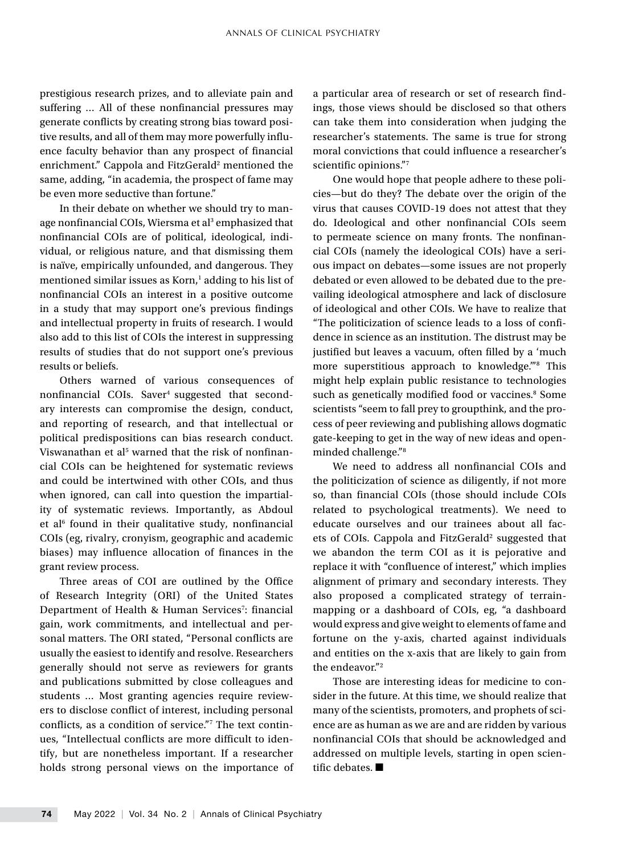prestigious research prizes, and to alleviate pain and suffering … All of these nonfinancial pressures may generate conflicts by creating strong bias toward positive results, and all of them may more powerfully influence faculty behavior than any prospect of financial enrichment." Cappola and FitzGerald<sup>2</sup> mentioned the same, adding, "in academia, the prospect of fame may be even more seductive than fortune."

In their debate on whether we should try to manage nonfinancial COIs, Wiersma et al<sup>3</sup> emphasized that nonfinancial COIs are of political, ideological, individual, or religious nature, and that dismissing them is naïve, empirically unfounded, and dangerous. They mentioned similar issues as Korn,<sup>1</sup> adding to his list of nonfinancial COIs an interest in a positive outcome in a study that may support one's previous findings and intellectual property in fruits of research. I would also add to this list of COIs the interest in suppressing results of studies that do not support one's previous results or beliefs.

Others warned of various consequences of nonfinancial COIs. Saver<sup>4</sup> suggested that secondary interests can compromise the design, conduct, and reporting of research, and that intellectual or political predispositions can bias research conduct. Viswanathan et al<sup>5</sup> warned that the risk of nonfinancial COIs can be heightened for systematic reviews and could be intertwined with other COIs, and thus when ignored, can call into question the impartiality of systematic reviews. Importantly, as Abdoul et al<sup>6</sup> found in their qualitative study, nonfinancial COIs (eg, rivalry, cronyism, geographic and academic biases) may influence allocation of finances in the grant review process.

Three areas of COI are outlined by the Office of Research Integrity (ORI) of the United States Department of Health & Human Services<sup>7</sup>: financial gain, work commitments, and intellectual and personal matters. The ORI stated, "Personal conflicts are usually the easiest to identify and resolve. Researchers generally should not serve as reviewers for grants and publications submitted by close colleagues and students … Most granting agencies require reviewers to disclose conflict of interest, including personal conflicts, as a condition of service."7 The text continues, "Intellectual conflicts are more difficult to identify, but are nonetheless important. If a researcher holds strong personal views on the importance of

a particular area of research or set of research findings, those views should be disclosed so that others can take them into consideration when judging the researcher's statements. The same is true for strong moral convictions that could influence a researcher's scientific opinions."7

One would hope that people adhere to these policies—but do they? The debate over the origin of the virus that causes COVID-19 does not attest that they do. Ideological and other nonfinancial COIs seem to permeate science on many fronts. The nonfinancial COIs (namely the ideological COIs) have a serious impact on debates—some issues are not properly debated or even allowed to be debated due to the prevailing ideological atmosphere and lack of disclosure of ideological and other COIs. We have to realize that "The politicization of science leads to a loss of confidence in science as an institution. The distrust may be justified but leaves a vacuum, often filled by a 'much more superstitious approach to knowledge.'"8 This might help explain public resistance to technologies such as genetically modified food or vaccines.<sup>8</sup> Some scientists "seem to fall prey to groupthink, and the process of peer reviewing and publishing allows dogmatic gate-keeping to get in the way of new ideas and openminded challenge."8

We need to address all nonfinancial COIs and the politicization of science as diligently, if not more so, than financial COIs (those should include COIs related to psychological treatments). We need to educate ourselves and our trainees about all facets of COIs. Cappola and FitzGerald<sup>2</sup> suggested that we abandon the term COI as it is pejorative and replace it with "confluence of interest," which implies alignment of primary and secondary interests. They also proposed a complicated strategy of terrainmapping or a dashboard of COIs, eg, "a dashboard would express and give weight to elements of fame and fortune on the y-axis, charted against individuals and entities on the x-axis that are likely to gain from the endeavor."<sup>2</sup>

Those are interesting ideas for medicine to consider in the future. At this time, we should realize that many of the scientists, promoters, and prophets of science are as human as we are and are ridden by various nonfinancial COIs that should be acknowledged and addressed on multiple levels, starting in open scientific debates. ■